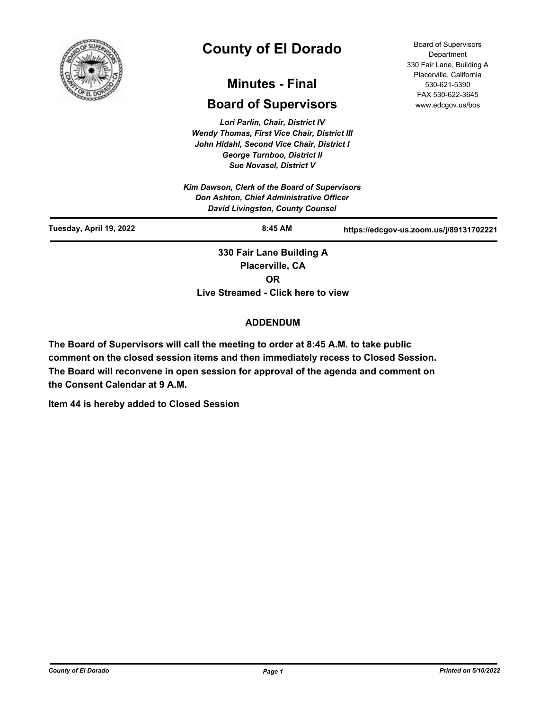

# **County of El Dorado**

# **Minutes - Final**

# **Board of Supervisors**

*Lori Parlin, Chair, District IV Wendy Thomas, First Vice Chair, District III John Hidahl, Second Vice Chair, District I George Turnboo, District II Sue Novasel, District V*

Board of Supervisors **Department** 330 Fair Lane, Building A Placerville, California 530-621-5390 FAX 530-622-3645 www.edcgov.us/bos

|                         | Don Ashton, Chief Administrative Officer<br><b>David Livingston, County Counsel</b> |                                         |  |
|-------------------------|-------------------------------------------------------------------------------------|-----------------------------------------|--|
| Tuesday, April 19, 2022 | $8:45$ AM                                                                           | https://edcgov-us.zoom.us/j/89131702221 |  |

**Placerville, CA OR Live Streamed - Click here to view**

### **ADDENDUM**

**The Board of Supervisors will call the meeting to order at 8:45 A.M. to take public comment on the closed session items and then immediately recess to Closed Session. The Board will reconvene in open session for approval of the agenda and comment on the Consent Calendar at 9 A.M.**

**Item 44 is hereby added to Closed Session**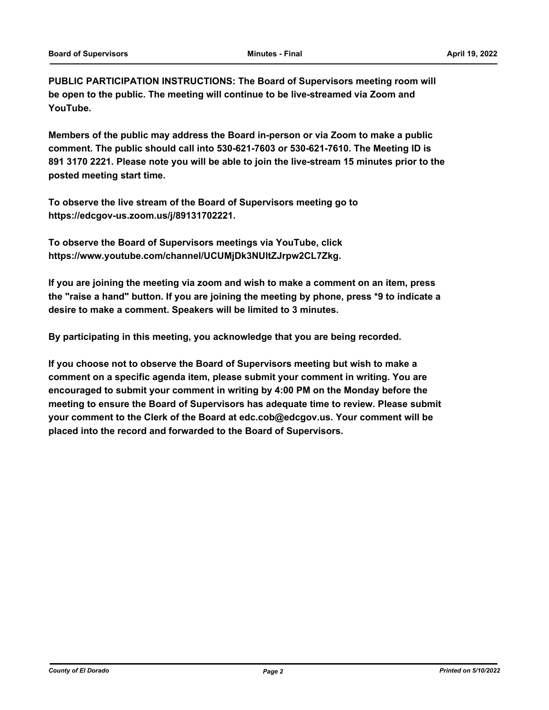**PUBLIC PARTICIPATION INSTRUCTIONS: The Board of Supervisors meeting room will be open to the public. The meeting will continue to be live-streamed via Zoom and YouTube.**

**Members of the public may address the Board in-person or via Zoom to make a public comment. The public should call into 530-621-7603 or 530-621-7610. The Meeting ID is 891 3170 2221. Please note you will be able to join the live-stream 15 minutes prior to the posted meeting start time.**

**To observe the live stream of the Board of Supervisors meeting go to https://edcgov-us.zoom.us/j/89131702221.**

**To observe the Board of Supervisors meetings via YouTube, click https://www.youtube.com/channel/UCUMjDk3NUltZJrpw2CL7Zkg.**

**If you are joining the meeting via zoom and wish to make a comment on an item, press the "raise a hand" button. If you are joining the meeting by phone, press \*9 to indicate a desire to make a comment. Speakers will be limited to 3 minutes.**

**By participating in this meeting, you acknowledge that you are being recorded.**

**If you choose not to observe the Board of Supervisors meeting but wish to make a comment on a specific agenda item, please submit your comment in writing. You are encouraged to submit your comment in writing by 4:00 PM on the Monday before the meeting to ensure the Board of Supervisors has adequate time to review. Please submit your comment to the Clerk of the Board at edc.cob@edcgov.us. Your comment will be placed into the record and forwarded to the Board of Supervisors.**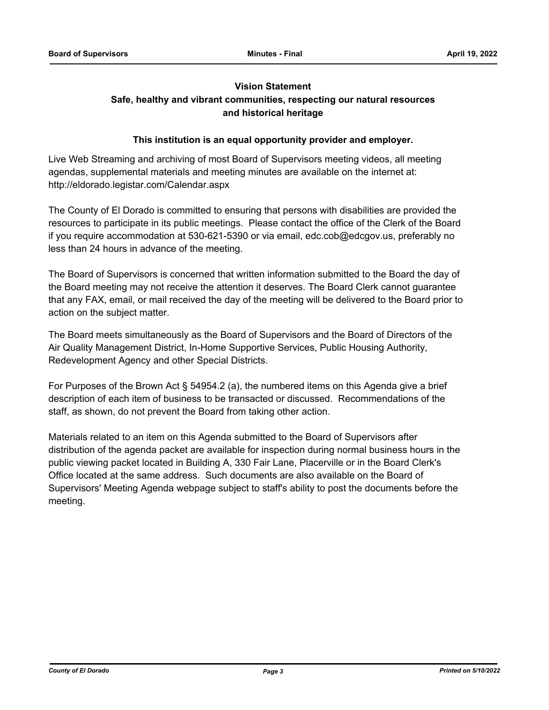## **Vision Statement**

# **Safe, healthy and vibrant communities, respecting our natural resources and historical heritage**

### **This institution is an equal opportunity provider and employer.**

Live Web Streaming and archiving of most Board of Supervisors meeting videos, all meeting agendas, supplemental materials and meeting minutes are available on the internet at: http://eldorado.legistar.com/Calendar.aspx

The County of El Dorado is committed to ensuring that persons with disabilities are provided the resources to participate in its public meetings. Please contact the office of the Clerk of the Board if you require accommodation at 530-621-5390 or via email, edc.cob@edcgov.us, preferably no less than 24 hours in advance of the meeting.

The Board of Supervisors is concerned that written information submitted to the Board the day of the Board meeting may not receive the attention it deserves. The Board Clerk cannot guarantee that any FAX, email, or mail received the day of the meeting will be delivered to the Board prior to action on the subject matter.

The Board meets simultaneously as the Board of Supervisors and the Board of Directors of the Air Quality Management District, In-Home Supportive Services, Public Housing Authority, Redevelopment Agency and other Special Districts.

For Purposes of the Brown Act § 54954.2 (a), the numbered items on this Agenda give a brief description of each item of business to be transacted or discussed. Recommendations of the staff, as shown, do not prevent the Board from taking other action.

Materials related to an item on this Agenda submitted to the Board of Supervisors after distribution of the agenda packet are available for inspection during normal business hours in the public viewing packet located in Building A, 330 Fair Lane, Placerville or in the Board Clerk's Office located at the same address. Such documents are also available on the Board of Supervisors' Meeting Agenda webpage subject to staff's ability to post the documents before the meeting.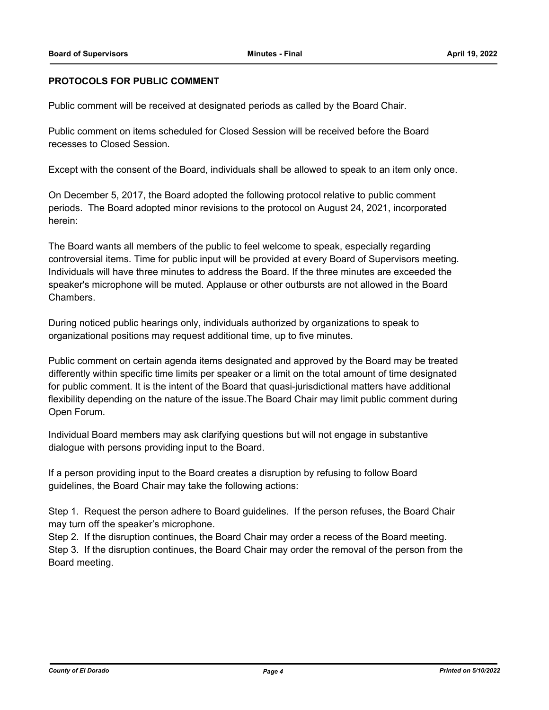### **PROTOCOLS FOR PUBLIC COMMENT**

Public comment will be received at designated periods as called by the Board Chair.

Public comment on items scheduled for Closed Session will be received before the Board recesses to Closed Session.

Except with the consent of the Board, individuals shall be allowed to speak to an item only once.

On December 5, 2017, the Board adopted the following protocol relative to public comment periods. The Board adopted minor revisions to the protocol on August 24, 2021, incorporated herein:

The Board wants all members of the public to feel welcome to speak, especially regarding controversial items. Time for public input will be provided at every Board of Supervisors meeting. Individuals will have three minutes to address the Board. If the three minutes are exceeded the speaker's microphone will be muted. Applause or other outbursts are not allowed in the Board Chambers.

During noticed public hearings only, individuals authorized by organizations to speak to organizational positions may request additional time, up to five minutes.

Public comment on certain agenda items designated and approved by the Board may be treated differently within specific time limits per speaker or a limit on the total amount of time designated for public comment. It is the intent of the Board that quasi-jurisdictional matters have additional flexibility depending on the nature of the issue.The Board Chair may limit public comment during Open Forum.

Individual Board members may ask clarifying questions but will not engage in substantive dialogue with persons providing input to the Board.

If a person providing input to the Board creates a disruption by refusing to follow Board guidelines, the Board Chair may take the following actions:

Step 1. Request the person adhere to Board guidelines. If the person refuses, the Board Chair may turn off the speaker's microphone.

Step 2. If the disruption continues, the Board Chair may order a recess of the Board meeting. Step 3. If the disruption continues, the Board Chair may order the removal of the person from the Board meeting.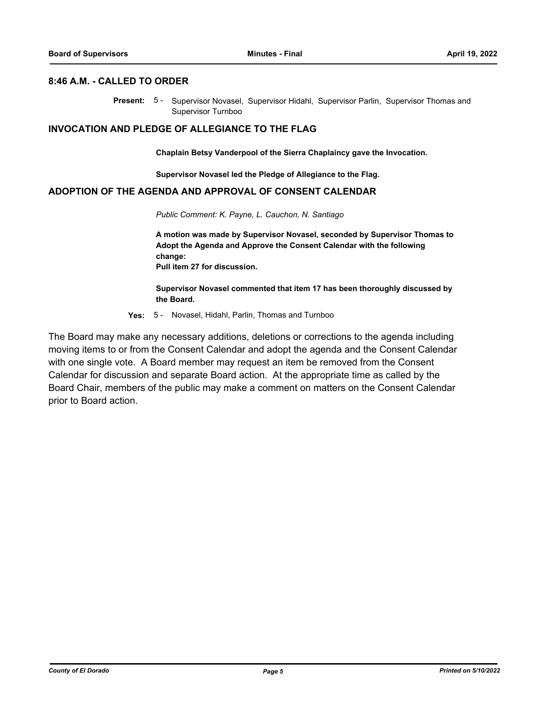### **8:46 A.M. - CALLED TO ORDER**

Present: 5- Supervisor Novasel, Supervisor Hidahl, Supervisor Parlin, Supervisor Thomas and Supervisor Turnboo

### **INVOCATION AND PLEDGE OF ALLEGIANCE TO THE FLAG**

**Chaplain Betsy Vanderpool of the Sierra Chaplaincy gave the Invocation.**

**Supervisor Novasel led the Pledge of Allegiance to the Flag.**

### **ADOPTION OF THE AGENDA AND APPROVAL OF CONSENT CALENDAR**

*Public Comment: K. Payne, L. Cauchon, N. Santiago*

**A motion was made by Supervisor Novasel, seconded by Supervisor Thomas to Adopt the Agenda and Approve the Consent Calendar with the following change: Pull item 27 for discussion.**

**Supervisor Novasel commented that item 17 has been thoroughly discussed by the Board.**

**Yes:** 5 - Novasel, Hidahl, Parlin, Thomas and Turnboo

The Board may make any necessary additions, deletions or corrections to the agenda including moving items to or from the Consent Calendar and adopt the agenda and the Consent Calendar with one single vote. A Board member may request an item be removed from the Consent Calendar for discussion and separate Board action. At the appropriate time as called by the Board Chair, members of the public may make a comment on matters on the Consent Calendar prior to Board action.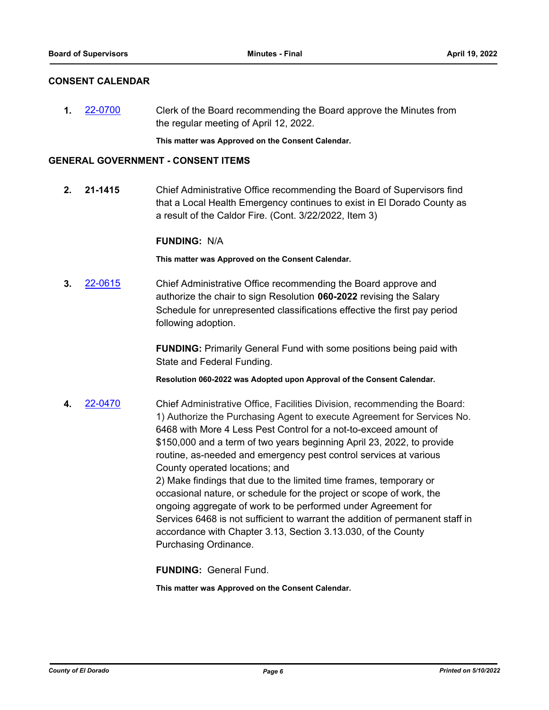### **CONSENT CALENDAR**

**1.** [22-0700](http://eldorado.legistar.com/gateway.aspx?m=l&id=/matter.aspx?key=31601) Clerk of the Board recommending the Board approve the Minutes from the regular meeting of April 12, 2022.

**This matter was Approved on the Consent Calendar.**

### **GENERAL GOVERNMENT - CONSENT ITEMS**

**2. 21-1415** Chief Administrative Office recommending the Board of Supervisors find that a Local Health Emergency continues to exist in El Dorado County as a result of the Caldor Fire. (Cont. 3/22/2022, Item 3)

### **FUNDING:** N/A

**This matter was Approved on the Consent Calendar.**

**3.** [22-0615](http://eldorado.legistar.com/gateway.aspx?m=l&id=/matter.aspx?key=31516) Chief Administrative Office recommending the Board approve and authorize the chair to sign Resolution **060-2022** revising the Salary Schedule for unrepresented classifications effective the first pay period following adoption.

> **FUNDING:** Primarily General Fund with some positions being paid with State and Federal Funding.

**Resolution 060-2022 was Adopted upon Approval of the Consent Calendar.**

**4.** [22-0470](http://eldorado.legistar.com/gateway.aspx?m=l&id=/matter.aspx?key=31371) Chief Administrative Office, Facilities Division, recommending the Board: 1) Authorize the Purchasing Agent to execute Agreement for Services No. 6468 with More 4 Less Pest Control for a not-to-exceed amount of \$150,000 and a term of two years beginning April 23, 2022, to provide routine, as-needed and emergency pest control services at various County operated locations; and 2) Make findings that due to the limited time frames, temporary or occasional nature, or schedule for the project or scope of work, the ongoing aggregate of work to be performed under Agreement for Services 6468 is not sufficient to warrant the addition of permanent staff in accordance with Chapter 3.13, Section 3.13.030, of the County Purchasing Ordinance.

**FUNDING:** General Fund.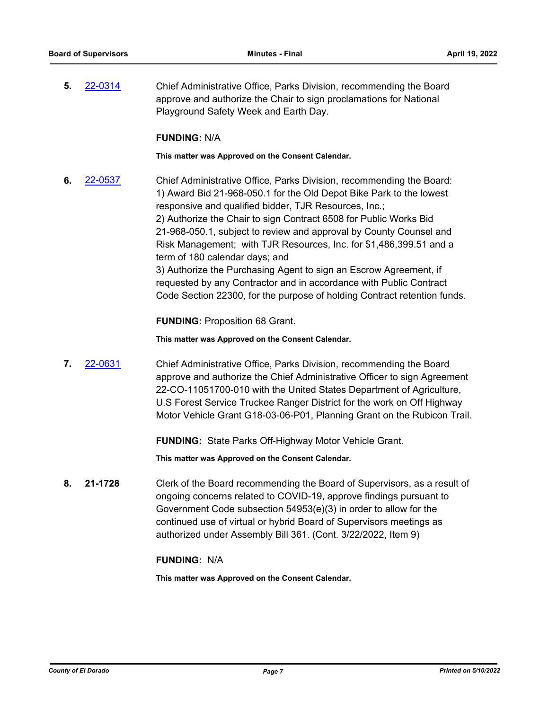**5.** [22-0314](http://eldorado.legistar.com/gateway.aspx?m=l&id=/matter.aspx?key=31215) Chief Administrative Office, Parks Division, recommending the Board approve and authorize the Chair to sign proclamations for National Playground Safety Week and Earth Day.

### **FUNDING:** N/A

**This matter was Approved on the Consent Calendar.**

**6.** [22-0537](http://eldorado.legistar.com/gateway.aspx?m=l&id=/matter.aspx?key=31438) Chief Administrative Office, Parks Division, recommending the Board: 1) Award Bid 21-968-050.1 for the Old Depot Bike Park to the lowest responsive and qualified bidder, TJR Resources, Inc.; 2) Authorize the Chair to sign Contract 6508 for Public Works Bid 21-968-050.1, subject to review and approval by County Counsel and Risk Management; with TJR Resources, Inc. for \$1,486,399.51 and a term of 180 calendar days; and 3) Authorize the Purchasing Agent to sign an Escrow Agreement, if requested by any Contractor and in accordance with Public Contract Code Section 22300, for the purpose of holding Contract retention funds.

**FUNDING:** Proposition 68 Grant.

**This matter was Approved on the Consent Calendar.**

**7.** [22-0631](http://eldorado.legistar.com/gateway.aspx?m=l&id=/matter.aspx?key=31532) Chief Administrative Office, Parks Division, recommending the Board approve and authorize the Chief Administrative Officer to sign Agreement 22-CO-11051700-010 with the United States Department of Agriculture, U.S Forest Service Truckee Ranger District for the work on Off Highway Motor Vehicle Grant G18-03-06-P01, Planning Grant on the Rubicon Trail.

**FUNDING:** State Parks Off-Highway Motor Vehicle Grant.

**This matter was Approved on the Consent Calendar.**

**8. 21-1728** Clerk of the Board recommending the Board of Supervisors, as a result of ongoing concerns related to COVID-19, approve findings pursuant to Government Code subsection 54953(e)(3) in order to allow for the continued use of virtual or hybrid Board of Supervisors meetings as authorized under Assembly Bill 361. (Cont. 3/22/2022, Item 9)

### **FUNDING:** N/A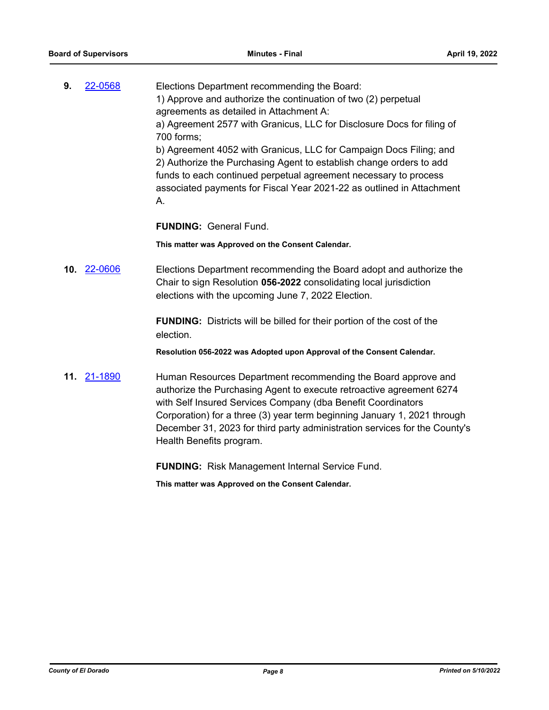| 9. | 22-0568 | Elections Department recommending the Board:                           |
|----|---------|------------------------------------------------------------------------|
|    |         | 1) Approve and authorize the continuation of two (2) perpetual         |
|    |         | agreements as detailed in Attachment A:                                |
|    |         | a) Agreement 2577 with Granicus, LLC for Disclosure Docs for filing of |
|    |         | 700 forms;                                                             |
|    |         | b) Agreement 4052 with Granicus, LLC for Campaign Docs Filing; and     |
|    |         | 2) Authorize the Purchasing Agent to establish change orders to add    |
|    |         | funds to each continued perpetual agreement necessary to process       |
|    |         | associated payments for Fiscal Year 2021-22 as outlined in Attachment  |
|    |         | A.                                                                     |

**FUNDING:** General Fund.

**This matter was Approved on the Consent Calendar.**

**10.** [22-0606](http://eldorado.legistar.com/gateway.aspx?m=l&id=/matter.aspx?key=31507) Elections Department recommending the Board adopt and authorize the Chair to sign Resolution **056-2022** consolidating local jurisdiction elections with the upcoming June 7, 2022 Election.

> **FUNDING:** Districts will be billed for their portion of the cost of the election.

> **Resolution 056-2022 was Adopted upon Approval of the Consent Calendar.**

**11.** [21-1890](http://eldorado.legistar.com/gateway.aspx?m=l&id=/matter.aspx?key=30786) Human Resources Department recommending the Board approve and authorize the Purchasing Agent to execute retroactive agreement 6274 with Self Insured Services Company (dba Benefit Coordinators Corporation) for a three (3) year term beginning January 1, 2021 through December 31, 2023 for third party administration services for the County's Health Benefits program.

**FUNDING:** Risk Management Internal Service Fund.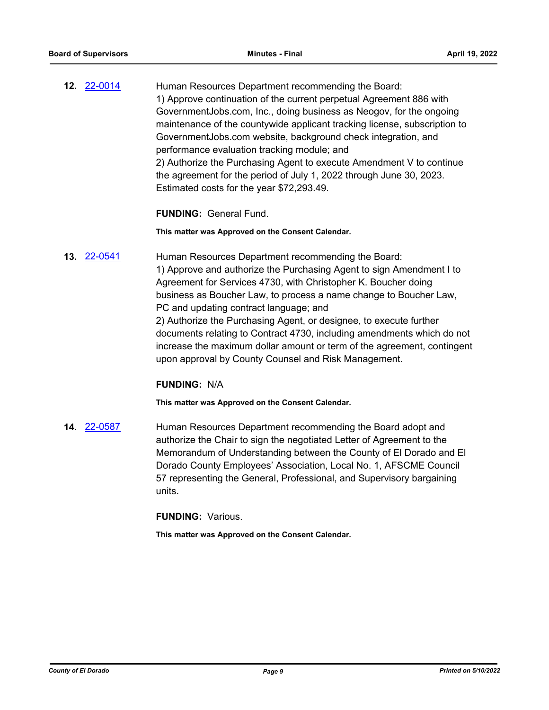**12.** [22-0014](http://eldorado.legistar.com/gateway.aspx?m=l&id=/matter.aspx?key=30914) Human Resources Department recommending the Board: 1) Approve continuation of the current perpetual Agreement 886 with GovernmentJobs.com, Inc., doing business as Neogov, for the ongoing maintenance of the countywide applicant tracking license, subscription to GovernmentJobs.com website, background check integration, and performance evaluation tracking module; and 2) Authorize the Purchasing Agent to execute Amendment V to continue the agreement for the period of July 1, 2022 through June 30, 2023. Estimated costs for the year \$72,293.49.

### **FUNDING:** General Fund.

**This matter was Approved on the Consent Calendar.**

**13.** [22-0541](http://eldorado.legistar.com/gateway.aspx?m=l&id=/matter.aspx?key=31442) Human Resources Department recommending the Board: 1) Approve and authorize the Purchasing Agent to sign Amendment I to Agreement for Services 4730, with Christopher K. Boucher doing business as Boucher Law, to process a name change to Boucher Law, PC and updating contract language; and 2) Authorize the Purchasing Agent, or designee, to execute further documents relating to Contract 4730, including amendments which do not increase the maximum dollar amount or term of the agreement, contingent upon approval by County Counsel and Risk Management.

### **FUNDING:** N/A

**This matter was Approved on the Consent Calendar.**

**14.** [22-0587](http://eldorado.legistar.com/gateway.aspx?m=l&id=/matter.aspx?key=31488) Human Resources Department recommending the Board adopt and authorize the Chair to sign the negotiated Letter of Agreement to the Memorandum of Understanding between the County of El Dorado and El Dorado County Employees' Association, Local No. 1, AFSCME Council 57 representing the General, Professional, and Supervisory bargaining units.

**FUNDING:** Various.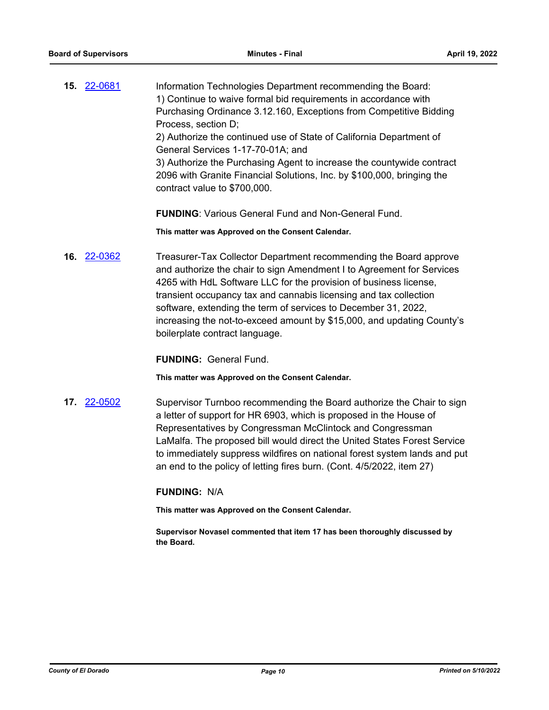**15.** [22-0681](http://eldorado.legistar.com/gateway.aspx?m=l&id=/matter.aspx?key=31582) Information Technologies Department recommending the Board: 1) Continue to waive formal bid requirements in accordance with Purchasing Ordinance 3.12.160, Exceptions from Competitive Bidding Process, section D; 2) Authorize the continued use of State of California Department of

General Services 1-17-70-01A; and

3) Authorize the Purchasing Agent to increase the countywide contract 2096 with Granite Financial Solutions, Inc. by \$100,000, bringing the contract value to \$700,000.

**FUNDING**: Various General Fund and Non-General Fund.

**This matter was Approved on the Consent Calendar.**

**16.** [22-0362](http://eldorado.legistar.com/gateway.aspx?m=l&id=/matter.aspx?key=31263) Treasurer-Tax Collector Department recommending the Board approve and authorize the chair to sign Amendment I to Agreement for Services 4265 with HdL Software LLC for the provision of business license, transient occupancy tax and cannabis licensing and tax collection software, extending the term of services to December 31, 2022, increasing the not-to-exceed amount by \$15,000, and updating County's boilerplate contract language.

**FUNDING:** General Fund.

**This matter was Approved on the Consent Calendar.**

**17.** [22-0502](http://eldorado.legistar.com/gateway.aspx?m=l&id=/matter.aspx?key=31403) Supervisor Turnboo recommending the Board authorize the Chair to sign a letter of support for HR 6903, which is proposed in the House of Representatives by Congressman McClintock and Congressman LaMalfa. The proposed bill would direct the United States Forest Service to immediately suppress wildfires on national forest system lands and put an end to the policy of letting fires burn. (Cont. 4/5/2022, item 27)

### **FUNDING:** N/A

**This matter was Approved on the Consent Calendar.**

**Supervisor Novasel commented that item 17 has been thoroughly discussed by the Board.**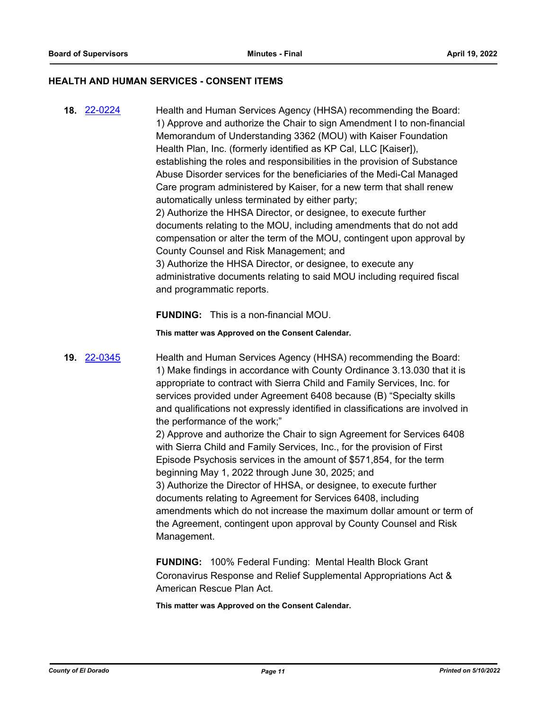### **HEALTH AND HUMAN SERVICES - CONSENT ITEMS**

**18.** [22-0224](http://eldorado.legistar.com/gateway.aspx?m=l&id=/matter.aspx?key=31125) Health and Human Services Agency (HHSA) recommending the Board: 1) Approve and authorize the Chair to sign Amendment I to non-financial Memorandum of Understanding 3362 (MOU) with Kaiser Foundation Health Plan, Inc. (formerly identified as KP Cal, LLC [Kaiser]), establishing the roles and responsibilities in the provision of Substance Abuse Disorder services for the beneficiaries of the Medi-Cal Managed Care program administered by Kaiser, for a new term that shall renew automatically unless terminated by either party; 2) Authorize the HHSA Director, or designee, to execute further documents relating to the MOU, including amendments that do not add compensation or alter the term of the MOU, contingent upon approval by County Counsel and Risk Management; and 3) Authorize the HHSA Director, or designee, to execute any administrative documents relating to said MOU including required fiscal and programmatic reports.

**FUNDING:** This is a non-financial MOU.

**This matter was Approved on the Consent Calendar.**

**19.** [22-0345](http://eldorado.legistar.com/gateway.aspx?m=l&id=/matter.aspx?key=31246) Health and Human Services Agency (HHSA) recommending the Board: 1) Make findings in accordance with County Ordinance 3.13.030 that it is appropriate to contract with Sierra Child and Family Services, Inc. for services provided under Agreement 6408 because (B) "Specialty skills and qualifications not expressly identified in classifications are involved in the performance of the work;"

> 2) Approve and authorize the Chair to sign Agreement for Services 6408 with Sierra Child and Family Services, Inc., for the provision of First Episode Psychosis services in the amount of \$571,854, for the term beginning May 1, 2022 through June 30, 2025; and 3) Authorize the Director of HHSA, or designee, to execute further documents relating to Agreement for Services 6408, including amendments which do not increase the maximum dollar amount or term of the Agreement, contingent upon approval by County Counsel and Risk Management.

**FUNDING:** 100% Federal Funding: Mental Health Block Grant Coronavirus Response and Relief Supplemental Appropriations Act & American Rescue Plan Act.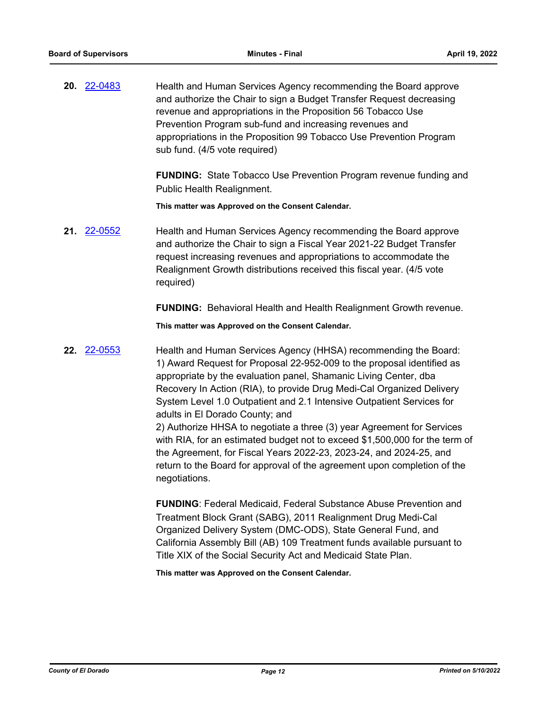**20.** [22-0483](http://eldorado.legistar.com/gateway.aspx?m=l&id=/matter.aspx?key=31384) Health and Human Services Agency recommending the Board approve and authorize the Chair to sign a Budget Transfer Request decreasing revenue and appropriations in the Proposition 56 Tobacco Use Prevention Program sub-fund and increasing revenues and appropriations in the Proposition 99 Tobacco Use Prevention Program sub fund. (4/5 vote required)

> **FUNDING:** State Tobacco Use Prevention Program revenue funding and Public Health Realignment.

**This matter was Approved on the Consent Calendar.**

**21.** [22-0552](http://eldorado.legistar.com/gateway.aspx?m=l&id=/matter.aspx?key=31453) Health and Human Services Agency recommending the Board approve and authorize the Chair to sign a Fiscal Year 2021-22 Budget Transfer request increasing revenues and appropriations to accommodate the Realignment Growth distributions received this fiscal year. (4/5 vote required)

**FUNDING:** Behavioral Health and Health Realignment Growth revenue.

**This matter was Approved on the Consent Calendar.**

**22.** [22-0553](http://eldorado.legistar.com/gateway.aspx?m=l&id=/matter.aspx?key=31454) Health and Human Services Agency (HHSA) recommending the Board: 1) Award Request for Proposal 22-952-009 to the proposal identified as appropriate by the evaluation panel, Shamanic Living Center, dba Recovery In Action (RIA), to provide Drug Medi-Cal Organized Delivery System Level 1.0 Outpatient and 2.1 Intensive Outpatient Services for adults in El Dorado County; and

2) Authorize HHSA to negotiate a three (3) year Agreement for Services with RIA, for an estimated budget not to exceed \$1,500,000 for the term of the Agreement, for Fiscal Years 2022-23, 2023-24, and 2024-25, and return to the Board for approval of the agreement upon completion of the negotiations.

**FUNDING**: Federal Medicaid, Federal Substance Abuse Prevention and Treatment Block Grant (SABG), 2011 Realignment Drug Medi-Cal Organized Delivery System (DMC-ODS), State General Fund, and California Assembly Bill (AB) 109 Treatment funds available pursuant to Title XIX of the Social Security Act and Medicaid State Plan.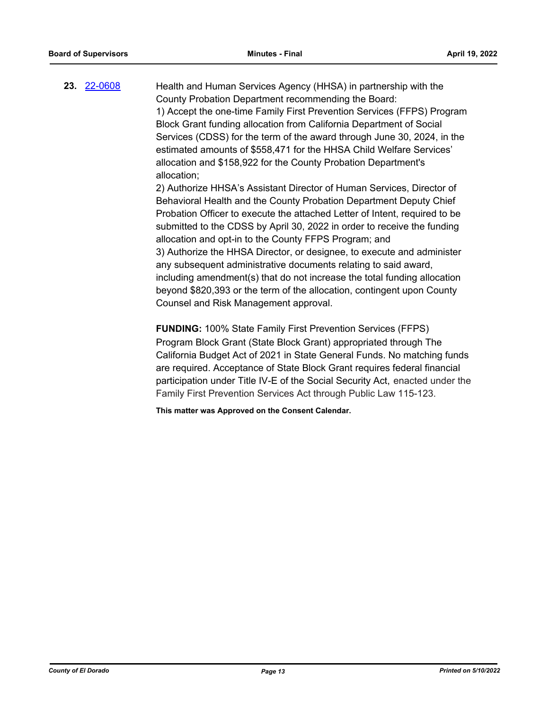**23.** [22-0608](http://eldorado.legistar.com/gateway.aspx?m=l&id=/matter.aspx?key=31509) Health and Human Services Agency (HHSA) in partnership with the County Probation Department recommending the Board: 1) Accept the one-time Family First Prevention Services (FFPS) Program Block Grant funding allocation from California Department of Social Services (CDSS) for the term of the award through June 30, 2024, in the estimated amounts of \$558,471 for the HHSA Child Welfare Services' allocation and \$158,922 for the County Probation Department's allocation; 2) Authorize HHSA's Assistant Director of Human Services, Director of Behavioral Health and the County Probation Department Deputy Chief

Probation Officer to execute the attached Letter of Intent, required to be submitted to the CDSS by April 30, 2022 in order to receive the funding allocation and opt-in to the County FFPS Program; and 3) Authorize the HHSA Director, or designee, to execute and administer any subsequent administrative documents relating to said award, including amendment(s) that do not increase the total funding allocation beyond \$820,393 or the term of the allocation, contingent upon County Counsel and Risk Management approval.

**FUNDING:** 100% State Family First Prevention Services (FFPS) Program Block Grant (State Block Grant) appropriated through The California Budget Act of 2021 in State General Funds. No matching funds are required. Acceptance of State Block Grant requires federal financial participation under Title IV-E of the Social Security Act, enacted under the Family First Prevention Services Act through Public Law 115-123.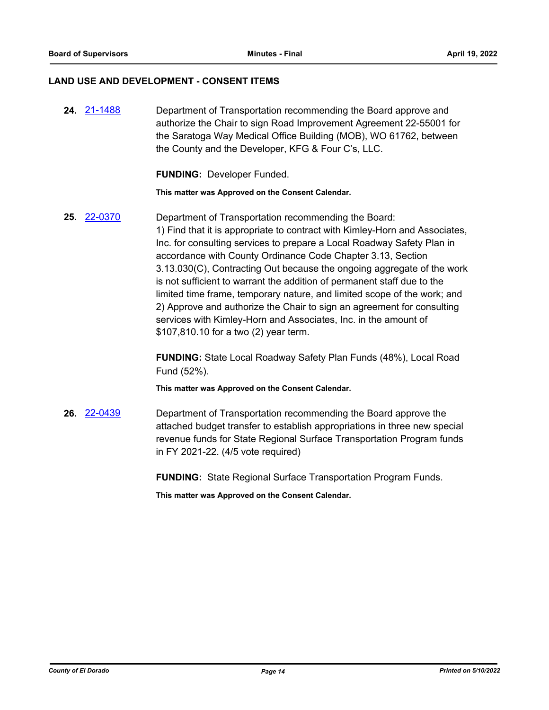### **LAND USE AND DEVELOPMENT - CONSENT ITEMS**

**24.** [21-1488](http://eldorado.legistar.com/gateway.aspx?m=l&id=/matter.aspx?key=30383) Department of Transportation recommending the Board approve and authorize the Chair to sign Road Improvement Agreement 22-55001 for the Saratoga Way Medical Office Building (MOB), WO 61762, between the County and the Developer, KFG & Four C's, LLC.

**FUNDING:** Developer Funded.

**This matter was Approved on the Consent Calendar.**

**25.** [22-0370](http://eldorado.legistar.com/gateway.aspx?m=l&id=/matter.aspx?key=31271) Department of Transportation recommending the Board: 1) Find that it is appropriate to contract with Kimley-Horn and Associates, Inc. for consulting services to prepare a Local Roadway Safety Plan in accordance with County Ordinance Code Chapter 3.13, Section 3.13.030(C), Contracting Out because the ongoing aggregate of the work is not sufficient to warrant the addition of permanent staff due to the limited time frame, temporary nature, and limited scope of the work; and 2) Approve and authorize the Chair to sign an agreement for consulting services with Kimley-Horn and Associates, Inc. in the amount of \$107,810.10 for a two (2) year term.

> **FUNDING:** State Local Roadway Safety Plan Funds (48%), Local Road Fund (52%).

**This matter was Approved on the Consent Calendar.**

**26.** [22-0439](http://eldorado.legistar.com/gateway.aspx?m=l&id=/matter.aspx?key=31340) Department of Transportation recommending the Board approve the attached budget transfer to establish appropriations in three new special revenue funds for State Regional Surface Transportation Program funds in FY 2021-22. (4/5 vote required)

**FUNDING:** State Regional Surface Transportation Program Funds.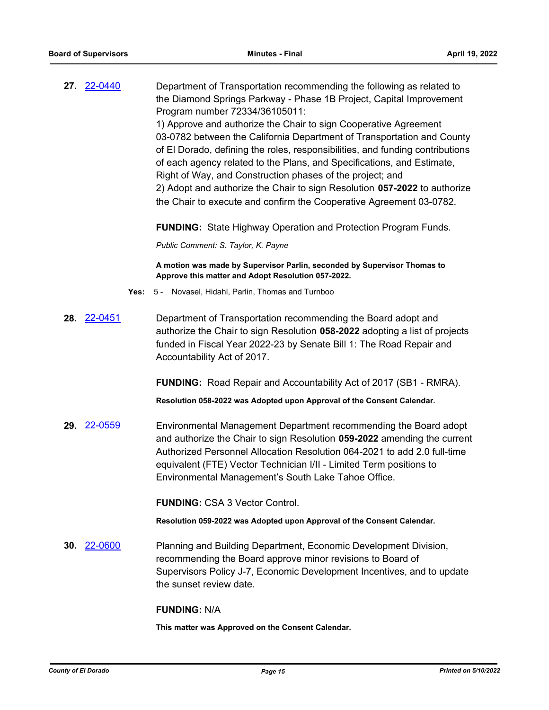| 27. 22-0440        |      | Department of Transportation recommending the following as related to<br>the Diamond Springs Parkway - Phase 1B Project, Capital Improvement<br>Program number 72334/36105011:                                                                                                                                                                                                                                                                                                                                         |
|--------------------|------|------------------------------------------------------------------------------------------------------------------------------------------------------------------------------------------------------------------------------------------------------------------------------------------------------------------------------------------------------------------------------------------------------------------------------------------------------------------------------------------------------------------------|
|                    |      | 1) Approve and authorize the Chair to sign Cooperative Agreement<br>03-0782 between the California Department of Transportation and County<br>of El Dorado, defining the roles, responsibilities, and funding contributions<br>of each agency related to the Plans, and Specifications, and Estimate,<br>Right of Way, and Construction phases of the project; and<br>2) Adopt and authorize the Chair to sign Resolution 057-2022 to authorize<br>the Chair to execute and confirm the Cooperative Agreement 03-0782. |
|                    |      | <b>FUNDING:</b> State Highway Operation and Protection Program Funds.                                                                                                                                                                                                                                                                                                                                                                                                                                                  |
|                    |      | Public Comment: S. Taylor, K. Payne                                                                                                                                                                                                                                                                                                                                                                                                                                                                                    |
|                    |      | A motion was made by Supervisor Parlin, seconded by Supervisor Thomas to<br>Approve this matter and Adopt Resolution 057-2022.                                                                                                                                                                                                                                                                                                                                                                                         |
|                    | Yes: | 5 - Novasel, Hidahl, Parlin, Thomas and Turnboo                                                                                                                                                                                                                                                                                                                                                                                                                                                                        |
| 28. 22-0451        |      | Department of Transportation recommending the Board adopt and<br>authorize the Chair to sign Resolution 058-2022 adopting a list of projects<br>funded in Fiscal Year 2022-23 by Senate Bill 1: The Road Repair and<br>Accountability Act of 2017.                                                                                                                                                                                                                                                                     |
|                    |      | <b>FUNDING:</b> Road Repair and Accountability Act of 2017 (SB1 - RMRA).                                                                                                                                                                                                                                                                                                                                                                                                                                               |
|                    |      | Resolution 058-2022 was Adopted upon Approval of the Consent Calendar.                                                                                                                                                                                                                                                                                                                                                                                                                                                 |
| 29. 22-0559        |      | Environmental Management Department recommending the Board adopt<br>and authorize the Chair to sign Resolution 059-2022 amending the current<br>Authorized Personnel Allocation Resolution 064-2021 to add 2.0 full-time<br>equivalent (FTE) Vector Technician I/II - Limited Term positions to<br>Environmental Management's South Lake Tahoe Office.                                                                                                                                                                 |
|                    |      | <b>FUNDING: CSA 3 Vector Control.</b>                                                                                                                                                                                                                                                                                                                                                                                                                                                                                  |
|                    |      | Resolution 059-2022 was Adopted upon Approval of the Consent Calendar.                                                                                                                                                                                                                                                                                                                                                                                                                                                 |
| <b>30.</b> 22-0600 |      | Planning and Building Department, Economic Development Division,<br>recommending the Board approve minor revisions to Board of<br>Supervisors Policy J-7, Economic Development Incentives, and to update<br>the sunset review date.                                                                                                                                                                                                                                                                                    |
|                    |      | <b>FUNDING: N/A</b>                                                                                                                                                                                                                                                                                                                                                                                                                                                                                                    |
|                    |      | This matter was Approved on the Consent Calendar.                                                                                                                                                                                                                                                                                                                                                                                                                                                                      |
|                    |      |                                                                                                                                                                                                                                                                                                                                                                                                                                                                                                                        |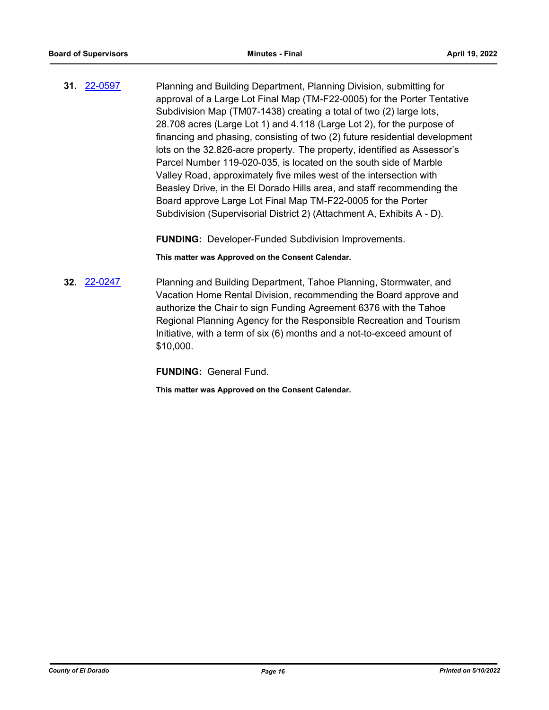**31.** [22-0597](http://eldorado.legistar.com/gateway.aspx?m=l&id=/matter.aspx?key=31498) Planning and Building Department, Planning Division, submitting for approval of a Large Lot Final Map (TM-F22-0005) for the Porter Tentative Subdivision Map (TM07-1438) creating a total of two (2) large lots, 28.708 acres (Large Lot 1) and 4.118 (Large Lot 2), for the purpose of financing and phasing, consisting of two (2) future residential development lots on the 32.826-acre property. The property, identified as Assessor's Parcel Number 119-020-035, is located on the south side of Marble Valley Road, approximately five miles west of the intersection with Beasley Drive, in the El Dorado Hills area, and staff recommending the Board approve Large Lot Final Map TM-F22-0005 for the Porter Subdivision (Supervisorial District 2) (Attachment A, Exhibits A - D).

**FUNDING:** Developer-Funded Subdivision Improvements.

**This matter was Approved on the Consent Calendar.**

**32.** [22-0247](http://eldorado.legistar.com/gateway.aspx?m=l&id=/matter.aspx?key=31148) Planning and Building Department, Tahoe Planning, Stormwater, and Vacation Home Rental Division, recommending the Board approve and authorize the Chair to sign Funding Agreement 6376 with the Tahoe Regional Planning Agency for the Responsible Recreation and Tourism Initiative, with a term of six (6) months and a not-to-exceed amount of \$10,000.

**FUNDING:** General Fund.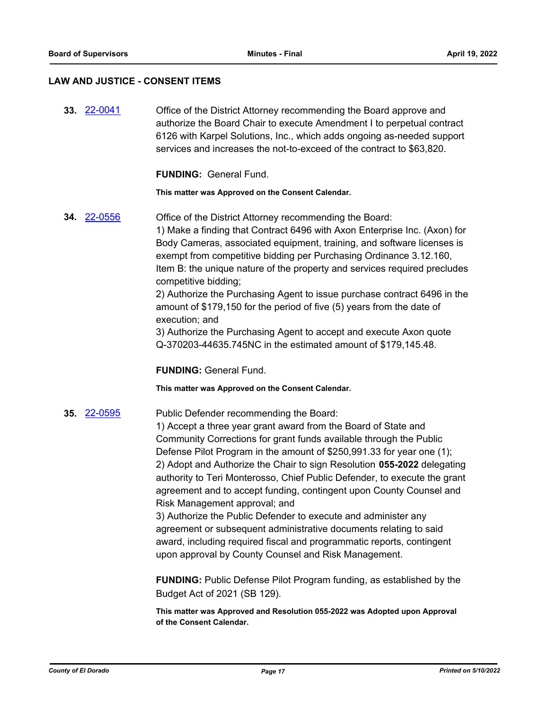### **LAW AND JUSTICE - CONSENT ITEMS**

**33.** [22-0041](http://eldorado.legistar.com/gateway.aspx?m=l&id=/matter.aspx?key=30941) Office of the District Attorney recommending the Board approve and authorize the Board Chair to execute Amendment I to perpetual contract 6126 with Karpel Solutions, Inc., which adds ongoing as-needed support services and increases the not-to-exceed of the contract to \$63,820.

**FUNDING:** General Fund.

**This matter was Approved on the Consent Calendar.**

**34.** [22-0556](http://eldorado.legistar.com/gateway.aspx?m=l&id=/matter.aspx?key=31457) Office of the District Attorney recommending the Board: 1) Make a finding that Contract 6496 with Axon Enterprise Inc. (Axon) for Body Cameras, associated equipment, training, and software licenses is exempt from competitive bidding per Purchasing Ordinance 3.12.160, Item B: the unique nature of the property and services required precludes competitive bidding;

2) Authorize the Purchasing Agent to issue purchase contract 6496 in the amount of \$179,150 for the period of five (5) years from the date of execution; and

3) Authorize the Purchasing Agent to accept and execute Axon quote Q-370203-44635.745NC in the estimated amount of \$179,145.48.

**FUNDING:** General Fund.

**This matter was Approved on the Consent Calendar.**

**35.** [22-0595](http://eldorado.legistar.com/gateway.aspx?m=l&id=/matter.aspx?key=31496) Public Defender recommending the Board:

1) Accept a three year grant award from the Board of State and Community Corrections for grant funds available through the Public Defense Pilot Program in the amount of \$250,991.33 for year one (1); 2) Adopt and Authorize the Chair to sign Resolution **055-2022** delegating authority to Teri Monterosso, Chief Public Defender, to execute the grant agreement and to accept funding, contingent upon County Counsel and Risk Management approval; and

3) Authorize the Public Defender to execute and administer any agreement or subsequent administrative documents relating to said award, including required fiscal and programmatic reports, contingent upon approval by County Counsel and Risk Management.

**FUNDING:** Public Defense Pilot Program funding, as established by the Budget Act of 2021 (SB 129).

**This matter was Approved and Resolution 055-2022 was Adopted upon Approval of the Consent Calendar.**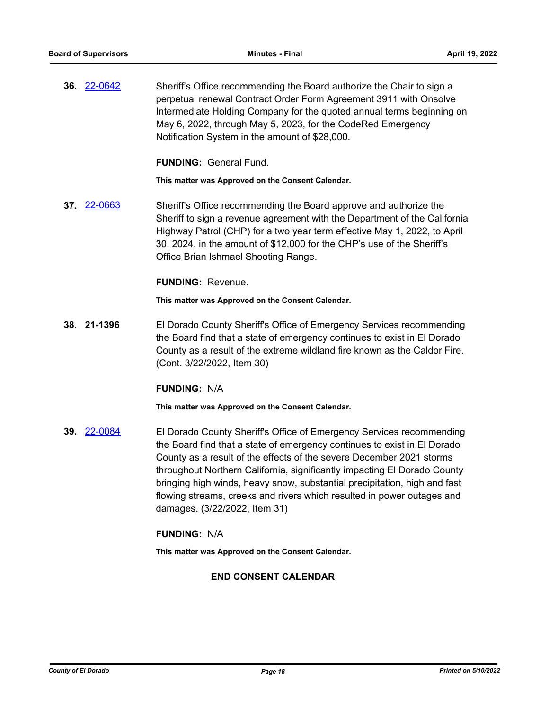**36.** [22-0642](http://eldorado.legistar.com/gateway.aspx?m=l&id=/matter.aspx?key=31543) Sheriff's Office recommending the Board authorize the Chair to sign a perpetual renewal Contract Order Form Agreement 3911 with Onsolve Intermediate Holding Company for the quoted annual terms beginning on May 6, 2022, through May 5, 2023, for the CodeRed Emergency Notification System in the amount of \$28,000.

**FUNDING:** General Fund.

**This matter was Approved on the Consent Calendar.**

**37.** [22-0663](http://eldorado.legistar.com/gateway.aspx?m=l&id=/matter.aspx?key=31564) Sheriff's Office recommending the Board approve and authorize the Sheriff to sign a revenue agreement with the Department of the California Highway Patrol (CHP) for a two year term effective May 1, 2022, to April 30, 2024, in the amount of \$12,000 for the CHP's use of the Sheriff's Office Brian Ishmael Shooting Range.

### **FUNDING:** Revenue.

**This matter was Approved on the Consent Calendar.**

**38. 21-1396** El Dorado County Sheriff's Office of Emergency Services recommending the Board find that a state of emergency continues to exist in El Dorado County as a result of the extreme wildland fire known as the Caldor Fire. (Cont. 3/22/2022, Item 30)

### **FUNDING:** N/A

**This matter was Approved on the Consent Calendar.**

**39.** [22-0084](http://eldorado.legistar.com/gateway.aspx?m=l&id=/matter.aspx?key=30984) El Dorado County Sheriff's Office of Emergency Services recommending the Board find that a state of emergency continues to exist in El Dorado County as a result of the effects of the severe December 2021 storms throughout Northern California, significantly impacting El Dorado County bringing high winds, heavy snow, substantial precipitation, high and fast flowing streams, creeks and rivers which resulted in power outages and damages. (3/22/2022, Item 31)

### **FUNDING:** N/A

**This matter was Approved on the Consent Calendar.**

### **END CONSENT CALENDAR**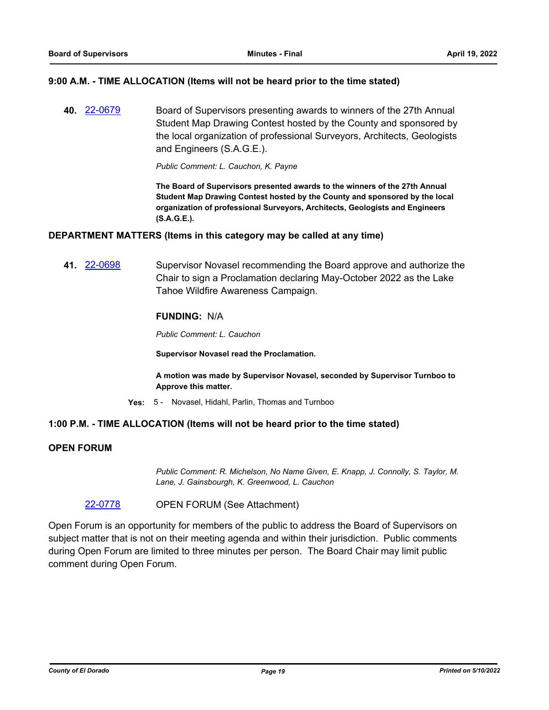### **9:00 A.M. - TIME ALLOCATION (Items will not be heard prior to the time stated)**

**40.** [22-0679](http://eldorado.legistar.com/gateway.aspx?m=l&id=/matter.aspx?key=31580) Board of Supervisors presenting awards to winners of the 27th Annual Student Map Drawing Contest hosted by the County and sponsored by the local organization of professional Surveyors, Architects, Geologists and Engineers (S.A.G.E.).

*Public Comment: L. Cauchon, K. Payne*

**The Board of Supervisors presented awards to the winners of the 27th Annual Student Map Drawing Contest hosted by the County and sponsored by the local organization of professional Surveyors, Architects, Geologists and Engineers (S.A.G.E.).**

### **DEPARTMENT MATTERS (Items in this category may be called at any time)**

**41.** [22-0698](http://eldorado.legistar.com/gateway.aspx?m=l&id=/matter.aspx?key=31599) Supervisor Novasel recommending the Board approve and authorize the Chair to sign a Proclamation declaring May-October 2022 as the Lake Tahoe Wildfire Awareness Campaign.

### **FUNDING:** N/A

*Public Comment: L. Cauchon*

**Supervisor Novasel read the Proclamation.**

**A motion was made by Supervisor Novasel, seconded by Supervisor Turnboo to Approve this matter.**

**Yes:** 5 - Novasel, Hidahl, Parlin, Thomas and Turnboo

### **1:00 P.M. - TIME ALLOCATION (Items will not be heard prior to the time stated)**

### **OPEN FORUM**

*Public Comment: R. Michelson, No Name Given, E. Knapp, J. Connolly, S. Taylor, M. Lane, J. Gainsbourgh, K. Greenwood, L. Cauchon*

[22-0778](http://eldorado.legistar.com/gateway.aspx?m=l&id=/matter.aspx?key=31679) OPEN FORUM (See Attachment)

Open Forum is an opportunity for members of the public to address the Board of Supervisors on subject matter that is not on their meeting agenda and within their jurisdiction. Public comments during Open Forum are limited to three minutes per person. The Board Chair may limit public comment during Open Forum.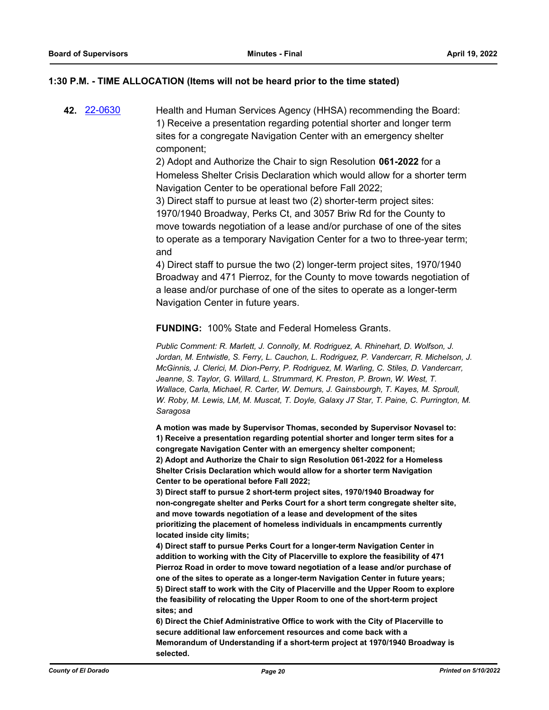### **1:30 P.M. - TIME ALLOCATION (Items will not be heard prior to the time stated)**

**42.** [22-0630](http://eldorado.legistar.com/gateway.aspx?m=l&id=/matter.aspx?key=31531) Health and Human Services Agency (HHSA) recommending the Board: 1) Receive a presentation regarding potential shorter and longer term sites for a congregate Navigation Center with an emergency shelter component;

> 2) Adopt and Authorize the Chair to sign Resolution **061-2022** for a Homeless Shelter Crisis Declaration which would allow for a shorter term Navigation Center to be operational before Fall 2022;

> 3) Direct staff to pursue at least two (2) shorter-term project sites: 1970/1940 Broadway, Perks Ct, and 3057 Briw Rd for the County to move towards negotiation of a lease and/or purchase of one of the sites to operate as a temporary Navigation Center for a two to three-year term; and

4) Direct staff to pursue the two (2) longer-term project sites, 1970/1940 Broadway and 471 Pierroz, for the County to move towards negotiation of a lease and/or purchase of one of the sites to operate as a longer-term Navigation Center in future years.

**FUNDING:** 100% State and Federal Homeless Grants.

*Public Comment: R. Marlett, J. Connolly, M. Rodriguez, A. Rhinehart, D. Wolfson, J. Jordan, M. Entwistle, S. Ferry, L. Cauchon, L. Rodriguez, P. Vandercarr, R. Michelson, J. McGinnis, J. Clerici, M. Dion-Perry, P. Rodriguez, M. Warling, C. Stiles, D. Vandercarr,*  Jeanne, S. Taylor, G. Willard, L. Strummard, K. Preston, P. Brown, W. West, T. *Wallace, Carla, Michael, R. Carter, W. Demurs, J. Gainsbourgh, T. Kayes, M. Sproull, W. Roby, M. Lewis, LM, M. Muscat, T. Doyle, Galaxy J7 Star, T. Paine, C. Purrington, M. Saragosa*

**A motion was made by Supervisor Thomas, seconded by Supervisor Novasel to: 1) Receive a presentation regarding potential shorter and longer term sites for a congregate Navigation Center with an emergency shelter component; 2) Adopt and Authorize the Chair to sign Resolution 061-2022 for a Homeless Shelter Crisis Declaration which would allow for a shorter term Navigation Center to be operational before Fall 2022;**

**3) Direct staff to pursue 2 short-term project sites, 1970/1940 Broadway for non-congregate shelter and Perks Court for a short term congregate shelter site, and move towards negotiation of a lease and development of the sites prioritizing the placement of homeless individuals in encampments currently located inside city limits;**

**4) Direct staff to pursue Perks Court for a longer-term Navigation Center in addition to working with the City of Placerville to explore the feasibility of 471 Pierroz Road in order to move toward negotiation of a lease and/or purchase of one of the sites to operate as a longer-term Navigation Center in future years; 5) Direct staff to work with the City of Placerville and the Upper Room to explore the feasibility of relocating the Upper Room to one of the short-term project sites; and**

**6) Direct the Chief Administrative Office to work with the City of Placerville to secure additional law enforcement resources and come back with a Memorandum of Understanding if a short-term project at 1970/1940 Broadway is selected.**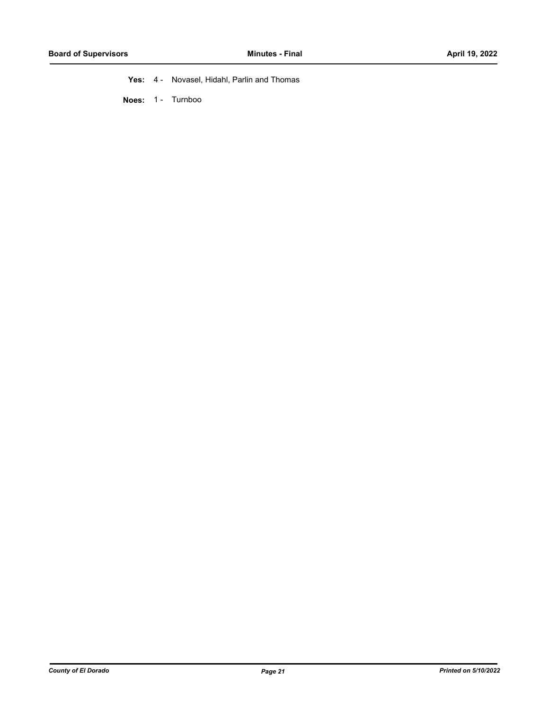**Yes:** 4 - Novasel, Hidahl, Parlin and Thomas

**Noes:** 1 - Turnboo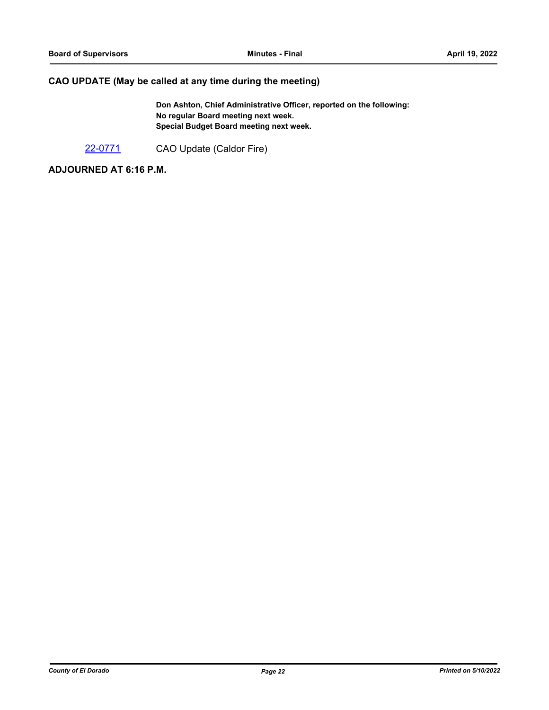# **CAO UPDATE (May be called at any time during the meeting)**

**Don Ashton, Chief Administrative Officer, reported on the following: No regular Board meeting next week. Special Budget Board meeting next week.**

[22-0771](http://eldorado.legistar.com/gateway.aspx?m=l&id=/matter.aspx?key=31672) CAO Update (Caldor Fire)

**ADJOURNED AT 6:16 P.M.**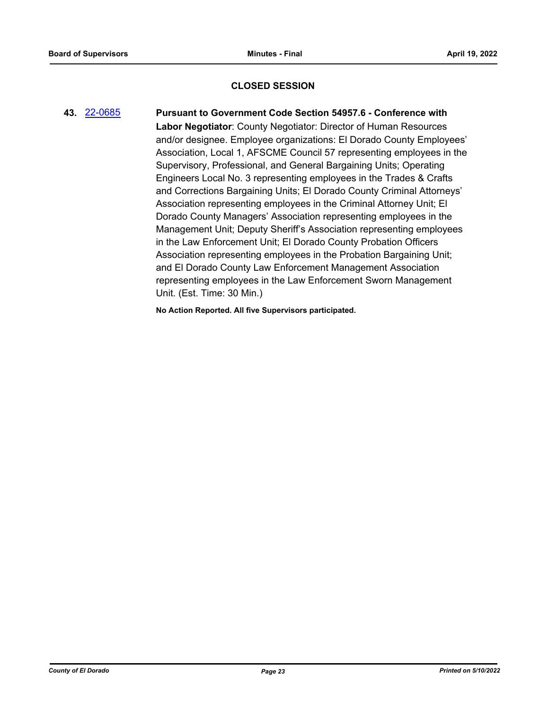### **CLOSED SESSION**

# **43.** [22-0685](http://eldorado.legistar.com/gateway.aspx?m=l&id=/matter.aspx?key=31586) **Pursuant to Government Code Section 54957.6 - Conference with Labor Negotiator**: County Negotiator: Director of Human Resources and/or designee. Employee organizations: El Dorado County Employees' Association, Local 1, AFSCME Council 57 representing employees in the Supervisory, Professional, and General Bargaining Units; Operating Engineers Local No. 3 representing employees in the Trades & Crafts and Corrections Bargaining Units; El Dorado County Criminal Attorneys' Association representing employees in the Criminal Attorney Unit; El Dorado County Managers' Association representing employees in the Management Unit; Deputy Sheriff's Association representing employees in the Law Enforcement Unit; El Dorado County Probation Officers Association representing employees in the Probation Bargaining Unit; and El Dorado County Law Enforcement Management Association representing employees in the Law Enforcement Sworn Management Unit. (Est. Time: 30 Min.)

**No Action Reported. All five Supervisors participated.**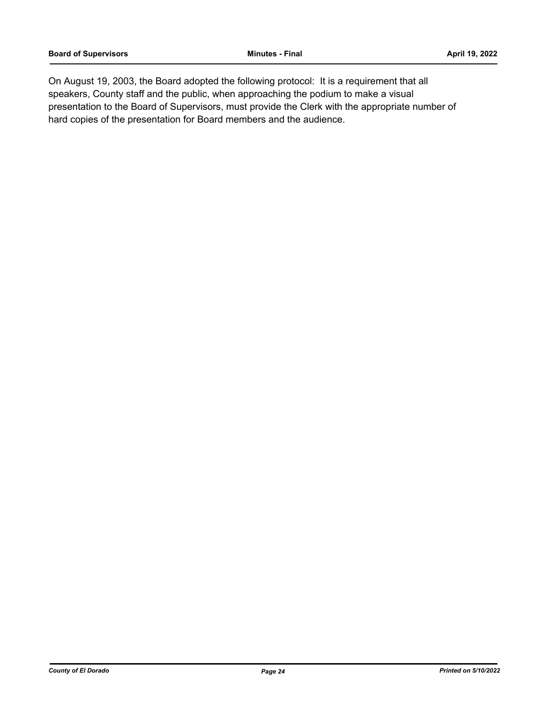On August 19, 2003, the Board adopted the following protocol: It is a requirement that all speakers, County staff and the public, when approaching the podium to make a visual presentation to the Board of Supervisors, must provide the Clerk with the appropriate number of hard copies of the presentation for Board members and the audience.